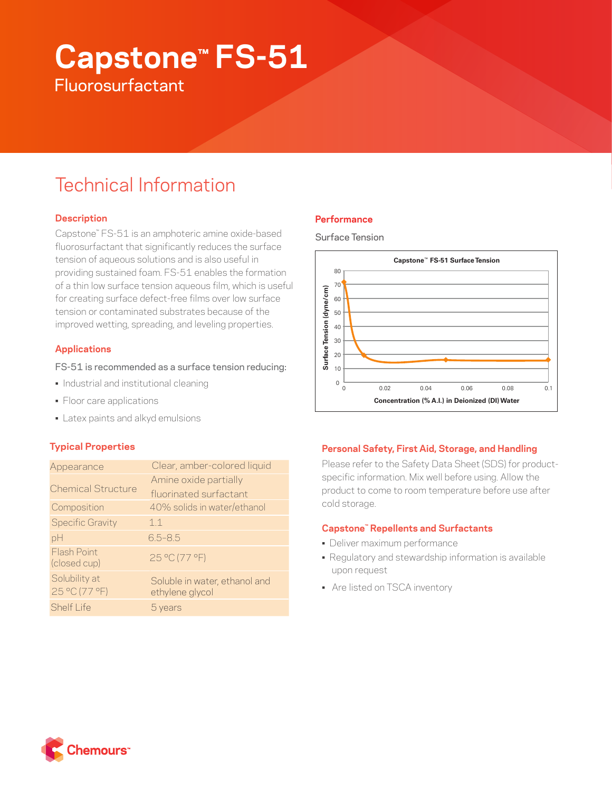# **Capstone™ FS-51 Fluorosurfactant**

# Technical Information

# **Description**

Capstone™ FS-51 is an amphoteric amine oxide-based fluorosurfactant that significantly reduces the surface tension of aqueous solutions and is also useful in providing sustained foam. FS-51 enables the formation of a thin low surface tension aqueous film, which is useful for creating surface defect-free films over low surface tension or contaminated substrates because of the improved wetting, spreading, and leveling properties.

# **Applications**

## FS-51 is recommended as a surface tension reducing:

- Industrial and institutional cleaning
- Floor care applications
- Latex paints and alkyd emulsions

# **Typical Properties**

| Appearance                         | Clear, amber-colored liquid                      |
|------------------------------------|--------------------------------------------------|
| <b>Chemical Structure</b>          | Amine oxide partially                            |
|                                    | fluorinated surfactant                           |
| Composition                        | 40% solids in water/ethanol                      |
| <b>Specific Gravity</b>            | 11                                               |
| pH                                 | $6.5 - 8.5$                                      |
| <b>Flash Point</b><br>(closed cup) | 25 °C (77 °F)                                    |
| Solubility at<br>25 °C (77 °F)     | Soluble in water, ethanol and<br>ethylene glycol |
| <b>Shelf Life</b>                  | b years                                          |

# **Performance**





#### **Personal Safety, First Aid, Storage, and Handling**

Please refer to the Safety Data Sheet (SDS) for productspecific information. Mix well before using. Allow the product to come to room temperature before use after cold storage.

#### **Capstone™ Repellents and Surfactants**

- Deliver maximum performance
- Regulatory and stewardship information is available upon request
- Are listed on TSCA inventory